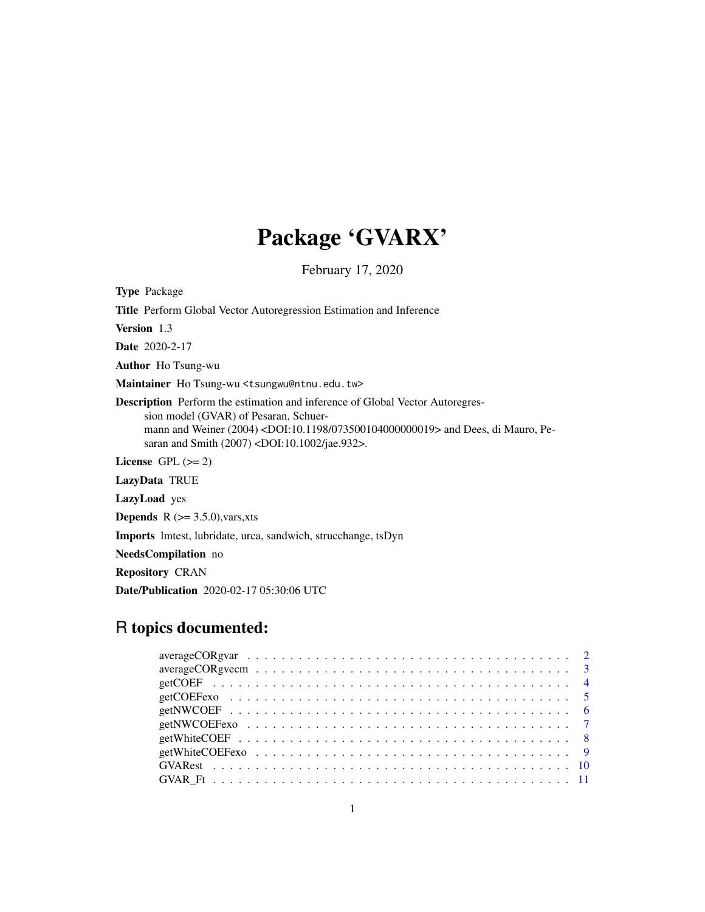# Package 'GVARX'

February 17, 2020

Type Package

Title Perform Global Vector Autoregression Estimation and Inference

Version 1.3

Date 2020-2-17

Author Ho Tsung-wu

Maintainer Ho Tsung-wu <tsungwu@ntnu.edu.tw>

Description Perform the estimation and inference of Global Vector Autoregression model (GVAR) of Pesaran, Schuermann and Weiner (2004) <DOI:10.1198/073500104000000019> and Dees, di Mauro, Pesaran and Smith (2007) <DOI:10.1002/jae.932>.

License GPL  $(>= 2)$ 

LazyData TRUE

LazyLoad yes

**Depends** R  $(>= 3.5.0)$ , vars, xts

Imports lmtest, lubridate, urca, sandwich, strucchange, tsDyn

NeedsCompilation no

Repository CRAN

Date/Publication 2020-02-17 05:30:06 UTC

# R topics documented:

| $averageCORgreen \dots \dots \dots \dots \dots \dots \dots \dots \dots \dots \dots \dots \dots \dots$ |
|-------------------------------------------------------------------------------------------------------|
|                                                                                                       |
|                                                                                                       |
|                                                                                                       |
|                                                                                                       |
|                                                                                                       |
|                                                                                                       |
|                                                                                                       |
|                                                                                                       |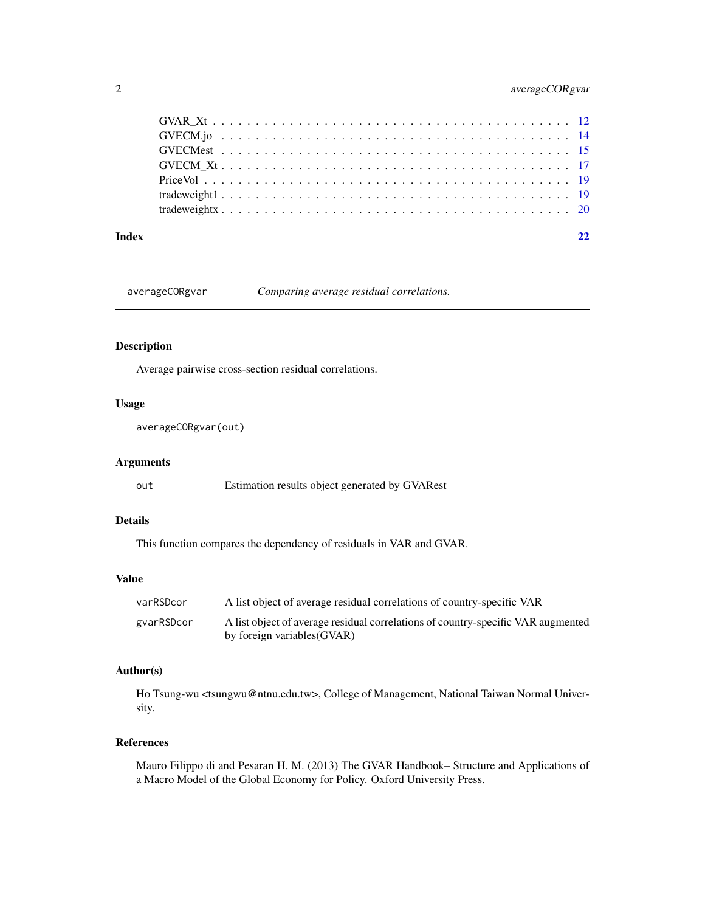# <span id="page-1-0"></span>2 averageCORgvar

| Index |  |
|-------|--|
|       |  |
|       |  |
|       |  |
|       |  |
|       |  |
|       |  |
|       |  |

averageCORgvar *Comparing average residual correlations.*

# Description

Average pairwise cross-section residual correlations.

# Usage

averageCORgvar(out)

# Arguments

out Estimation results object generated by GVARest

# Details

This function compares the dependency of residuals in VAR and GVAR.

# Value

| varRSDcor  | A list object of average residual correlations of country-specific VAR           |
|------------|----------------------------------------------------------------------------------|
| gyarRSDcor | A list object of average residual correlations of country-specific VAR augmented |
|            | by foreign variables (GVAR)                                                      |

# Author(s)

Ho Tsung-wu <tsungwu@ntnu.edu.tw>, College of Management, National Taiwan Normal University.

#### References

Mauro Filippo di and Pesaran H. M. (2013) The GVAR Handbook– Structure and Applications of a Macro Model of the Global Economy for Policy. Oxford University Press.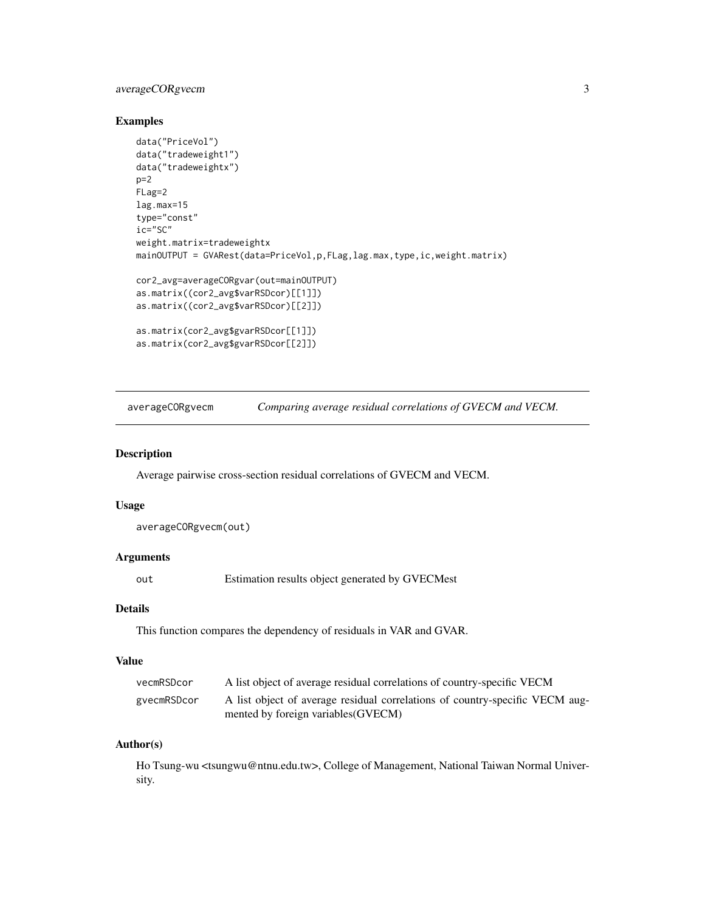# <span id="page-2-0"></span>averageCORgvecm 3

# Examples

```
data("PriceVol")
data("tradeweight1")
data("tradeweightx")
p=2FLag=2
lag.max=15
type="const"
ic="SC"
weight.matrix=tradeweightx
mainOUTPUT = GVARest(data=PriceVol,p,FLag,lag.max,type,ic,weight.matrix)
cor2_avg=averageCORgvar(out=mainOUTPUT)
as.matrix((cor2_avg$varRSDcor)[[1]])
as.matrix((cor2_avg$varRSDcor)[[2]])
as.matrix(cor2_avg$gvarRSDcor[[1]])
as.matrix(cor2_avg$gvarRSDcor[[2]])
```
averageCORgvecm *Comparing average residual correlations of GVECM and VECM.*

#### Description

Average pairwise cross-section residual correlations of GVECM and VECM.

#### Usage

averageCORgvecm(out)

# Arguments

out Estimation results object generated by GVECMest

#### Details

This function compares the dependency of residuals in VAR and GVAR.

#### Value

| vecmRSDcor  | A list object of average residual correlations of country-specific VECM      |
|-------------|------------------------------------------------------------------------------|
| gvecmRSDcor | A list object of average residual correlations of country-specific VECM aug- |
|             | mented by foreign variables (GVECM)                                          |

#### Author(s)

Ho Tsung-wu <tsungwu@ntnu.edu.tw>, College of Management, National Taiwan Normal University.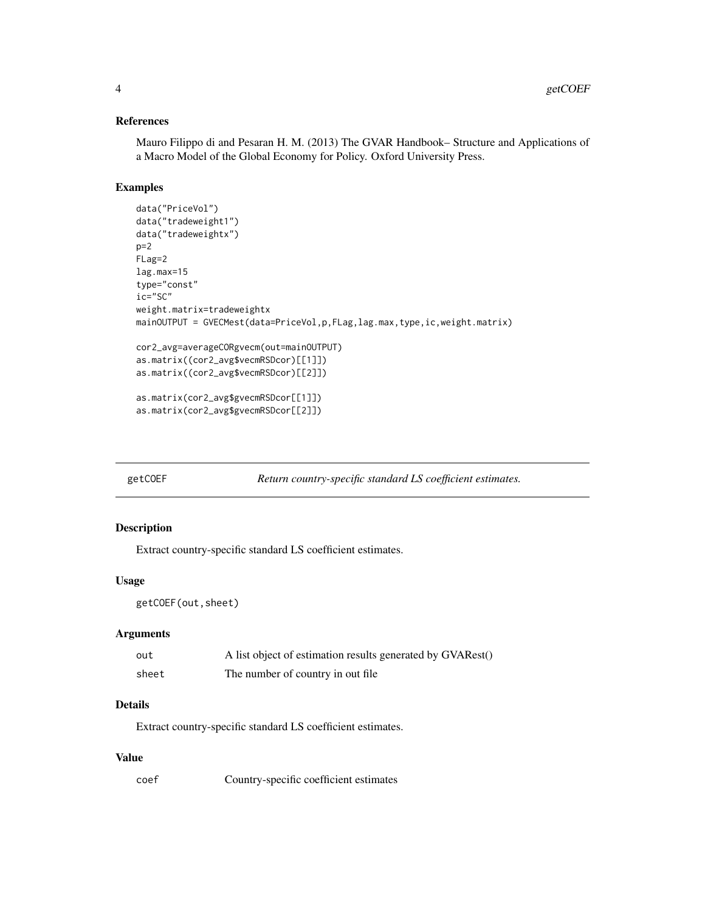#### References

Mauro Filippo di and Pesaran H. M. (2013) The GVAR Handbook– Structure and Applications of a Macro Model of the Global Economy for Policy. Oxford University Press.

# Examples

```
data("PriceVol")
data("tradeweight1")
data("tradeweightx")
p=2FLag=2
lag.max=15
type="const"
ic="SC"
weight.matrix=tradeweightx
mainOUTPUT = GVECMest(data=PriceVol,p,FLag,lag.max,type,ic,weight.matrix)
cor2_avg=averageCORgvecm(out=mainOUTPUT)
as.matrix((cor2_avg$vecmRSDcor)[[1]])
as.matrix((cor2_avg$vecmRSDcor)[[2]])
as.matrix(cor2_avg$gvecmRSDcor[[1]])
as.matrix(cor2_avg$gvecmRSDcor[[2]])
```
getCOEF *Return country-specific standard LS coefficient estimates.*

#### Description

Extract country-specific standard LS coefficient estimates.

#### Usage

```
getCOEF(out,sheet)
```
# Arguments

| out   | A list object of estimation results generated by GVARest() |
|-------|------------------------------------------------------------|
| sheet | The number of country in out file                          |

#### Details

Extract country-specific standard LS coefficient estimates.

### Value

coef Country-specific coefficient estimates

<span id="page-3-0"></span>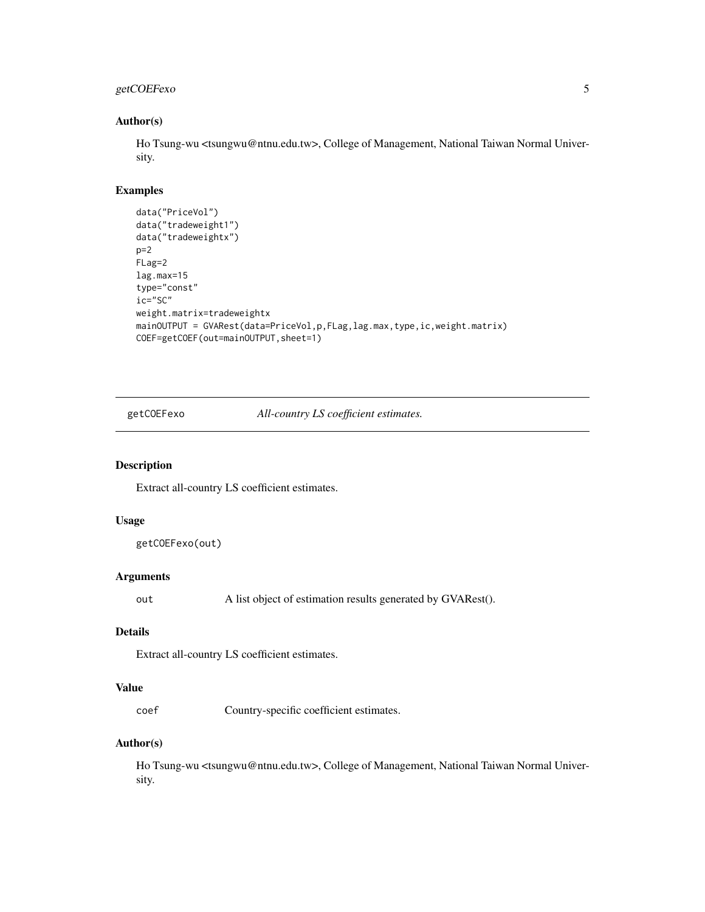# <span id="page-4-0"></span>getCOEFexo 5

#### Author(s)

Ho Tsung-wu <tsungwu@ntnu.edu.tw>, College of Management, National Taiwan Normal University.

# Examples

```
data("PriceVol")
data("tradeweight1")
data("tradeweightx")
p=2
FLag=2
lag.max=15
type="const"
ic="SC"
weight.matrix=tradeweightx
mainOUTPUT = GVARest(data=PriceVol,p,FLag,lag.max,type,ic,weight.matrix)
COEF=getCOEF(out=mainOUTPUT,sheet=1)
```
getCOEFexo *All-country LS coefficient estimates.*

#### Description

Extract all-country LS coefficient estimates.

# Usage

getCOEFexo(out)

# Arguments

out A list object of estimation results generated by GVARest().

# Details

Extract all-country LS coefficient estimates.

# Value

coef Country-specific coefficient estimates.

#### Author(s)

Ho Tsung-wu <tsungwu@ntnu.edu.tw>, College of Management, National Taiwan Normal University.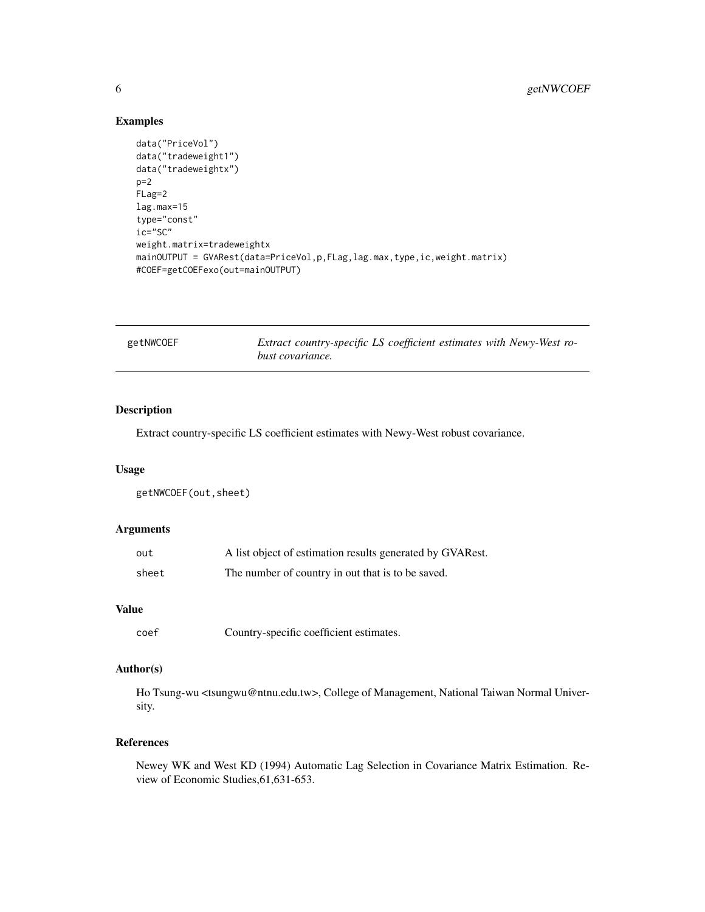# Examples

```
data("PriceVol")
data("tradeweight1")
data("tradeweightx")
p=2
FLag=2
lag.max=15
type="const"
ic="SC"
weight.matrix=tradeweightx
mainOUTPUT = GVARest(data=PriceVol,p,FLag,lag.max,type,ic,weight.matrix)
#COEF=getCOEFexo(out=mainOUTPUT)
```

| getNWCOEF | Extract country-specific LS coefficient estimates with Newy-West ro- |
|-----------|----------------------------------------------------------------------|
|           | bust covariance.                                                     |

#### Description

Extract country-specific LS coefficient estimates with Newy-West robust covariance.

# Usage

getNWCOEF(out,sheet)

#### Arguments

| out   | A list object of estimation results generated by GVARest. |
|-------|-----------------------------------------------------------|
| sheet | The number of country in out that is to be saved.         |

# Value

```
coef Country-specific coefficient estimates.
```
#### Author(s)

Ho Tsung-wu <tsungwu@ntnu.edu.tw>, College of Management, National Taiwan Normal University.

# References

Newey WK and West KD (1994) Automatic Lag Selection in Covariance Matrix Estimation. Review of Economic Studies,61,631-653.

<span id="page-5-0"></span>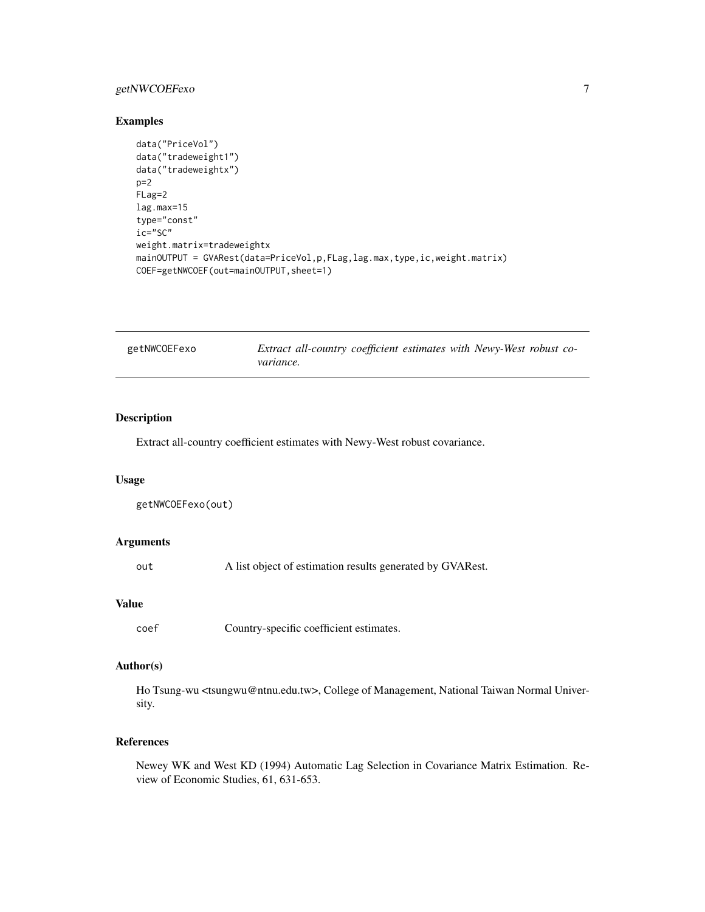# <span id="page-6-0"></span>getNWCOEFexo 7

#### Examples

```
data("PriceVol")
data("tradeweight1")
data("tradeweightx")
p=2FLag=2
lag.max=15
type="const"
ic="SC"
weight.matrix=tradeweightx
mainOUTPUT = GVARest(data=PriceVol,p,FLag,lag.max,type,ic,weight.matrix)
COEF=getNWCOEF(out=mainOUTPUT,sheet=1)
```

| getNWCOEFexo | Extract all-country coefficient estimates with Newy-West robust co- |  |  |  |
|--------------|---------------------------------------------------------------------|--|--|--|
|              | <i>variance.</i>                                                    |  |  |  |

# Description

Extract all-country coefficient estimates with Newy-West robust covariance.

# Usage

```
getNWCOEFexo(out)
```
# Arguments

out A list object of estimation results generated by GVARest.

#### Value

coef Country-specific coefficient estimates.

# Author(s)

Ho Tsung-wu <tsungwu@ntnu.edu.tw>, College of Management, National Taiwan Normal University.

# References

Newey WK and West KD (1994) Automatic Lag Selection in Covariance Matrix Estimation. Review of Economic Studies, 61, 631-653.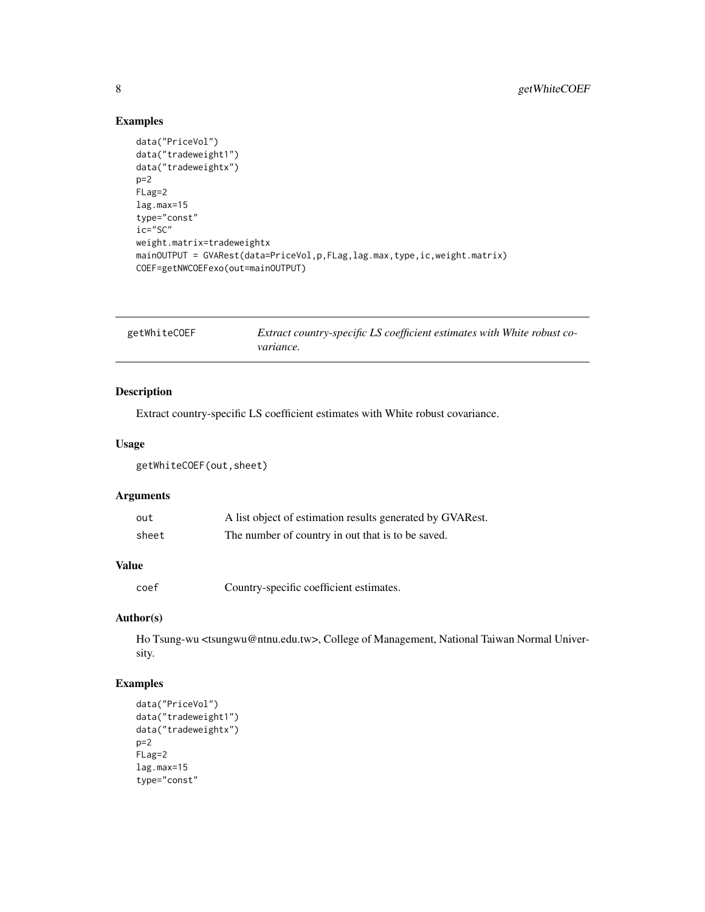# Examples

```
data("PriceVol")
data("tradeweight1")
data("tradeweightx")
p=2FLag=2
lag.max=15
type="const"
ic="SC"
weight.matrix=tradeweightx
mainOUTPUT = GVARest(data=PriceVol,p,FLag,lag.max,type,ic,weight.matrix)
COEF=getNWCOEFexo(out=mainOUTPUT)
```

| getWhiteCOEF | Extract country-specific LS coefficient estimates with White robust co- |
|--------------|-------------------------------------------------------------------------|
|              | <i>variance.</i>                                                        |

# Description

Extract country-specific LS coefficient estimates with White robust covariance.

# Usage

getWhiteCOEF(out,sheet)

# Arguments

| out   | A list object of estimation results generated by GVARest. |
|-------|-----------------------------------------------------------|
| sheet | The number of country in out that is to be saved.         |

# Value

coef Country-specific coefficient estimates.

# Author(s)

Ho Tsung-wu <tsungwu@ntnu.edu.tw>, College of Management, National Taiwan Normal University.

# Examples

```
data("PriceVol")
data("tradeweight1")
data("tradeweightx")
p=2FLag=2
lag.max=15
type="const"
```
<span id="page-7-0"></span>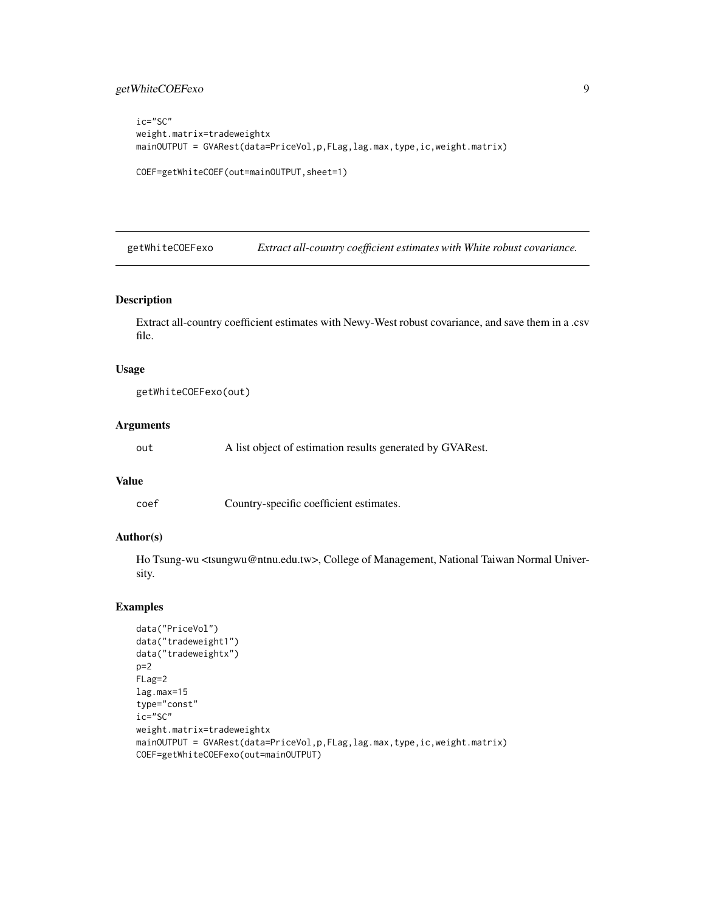# <span id="page-8-0"></span>getWhiteCOEFexo 9

```
ic="SC"
weight.matrix=tradeweightx
mainOUTPUT = GVARest(data=PriceVol,p,FLag,lag.max,type,ic,weight.matrix)
COEF=getWhiteCOEF(out=mainOUTPUT,sheet=1)
```
getWhiteCOEFexo *Extract all-country coefficient estimates with White robust covariance.*

# Description

Extract all-country coefficient estimates with Newy-West robust covariance, and save them in a .csv file.

#### Usage

```
getWhiteCOEFexo(out)
```
#### Arguments

out A list object of estimation results generated by GVARest.

# Value

coef Country-specific coefficient estimates.

#### Author(s)

Ho Tsung-wu <tsungwu@ntnu.edu.tw>, College of Management, National Taiwan Normal University.

#### Examples

```
data("PriceVol")
data("tradeweight1")
data("tradeweightx")
p=2FLag=2
lag.max=15
type="const"
ic="SC"
weight.matrix=tradeweightx
mainOUTPUT = GVARest(data=PriceVol,p,FLag,lag.max,type,ic,weight.matrix)
COEF=getWhiteCOEFexo(out=mainOUTPUT)
```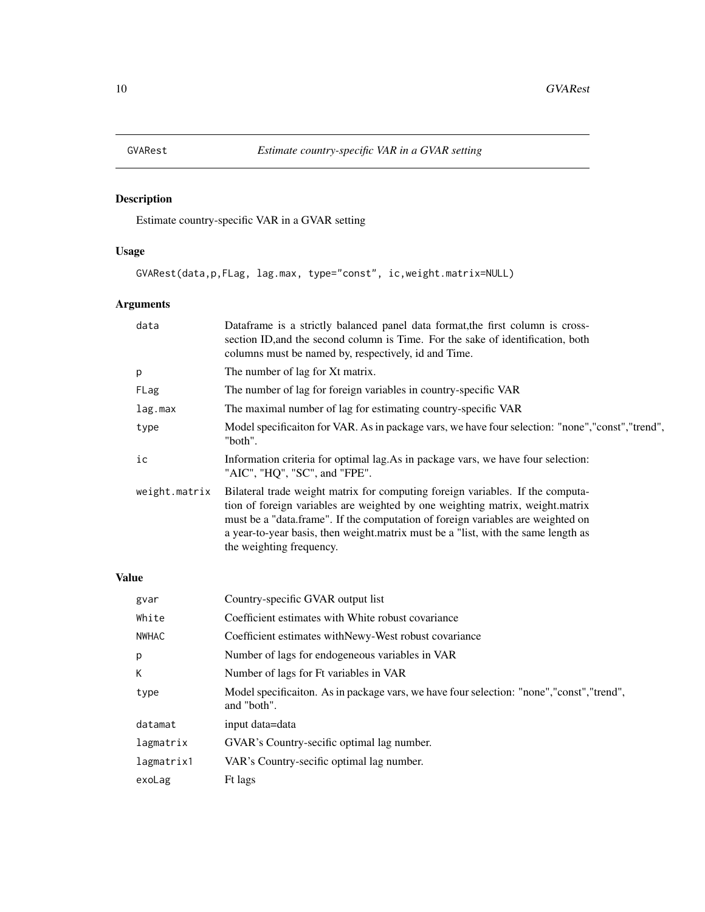<span id="page-9-0"></span>

# Description

Estimate country-specific VAR in a GVAR setting

# Usage

GVARest(data,p,FLag, lag.max, type="const", ic,weight.matrix=NULL)

# Arguments

| data          | Dataframe is a strictly balanced panel data format, the first column is cross-<br>section ID, and the second column is Time. For the sake of identification, both<br>columns must be named by, respectively, id and Time.                                                                                                                                           |
|---------------|---------------------------------------------------------------------------------------------------------------------------------------------------------------------------------------------------------------------------------------------------------------------------------------------------------------------------------------------------------------------|
| p             | The number of lag for Xt matrix.                                                                                                                                                                                                                                                                                                                                    |
| FLag          | The number of lag for foreign variables in country-specific VAR                                                                                                                                                                                                                                                                                                     |
| lag.max       | The maximal number of lag for estimating country-specific VAR                                                                                                                                                                                                                                                                                                       |
| type          | Model specification for VAR. As in package vars, we have four selection: "none","const","trend",<br>"both".                                                                                                                                                                                                                                                         |
| ic            | Information criteria for optimal lag. As in package vars, we have four selection:<br>"AIC", "HQ", "SC", and "FPE".                                                                                                                                                                                                                                                  |
| weight.matrix | Bilateral trade weight matrix for computing foreign variables. If the computa-<br>tion of foreign variables are weighted by one weighting matrix, weight.matrix<br>must be a "data.frame". If the computation of foreign variables are weighted on<br>a year-to-year basis, then weight matrix must be a "list, with the same length as<br>the weighting frequency. |

# Value

| gvar       | Country-specific GVAR output list                                                                         |
|------------|-----------------------------------------------------------------------------------------------------------|
| White      | Coefficient estimates with White robust covariance                                                        |
| NWHAC      | Coefficient estimates with Newy-West robust covariance                                                    |
| p          | Number of lags for endogeneous variables in VAR                                                           |
| К          | Number of lags for Ft variables in VAR                                                                    |
| type       | Model specificaiton. As in package vars, we have four selection: "none", "const", "trend",<br>and "both". |
| datamat    | input data=data                                                                                           |
| lagmatrix  | GVAR's Country-secific optimal lag number.                                                                |
| lagmatrix1 | VAR's Country-secific optimal lag number.                                                                 |
| exoLag     | Ft lags                                                                                                   |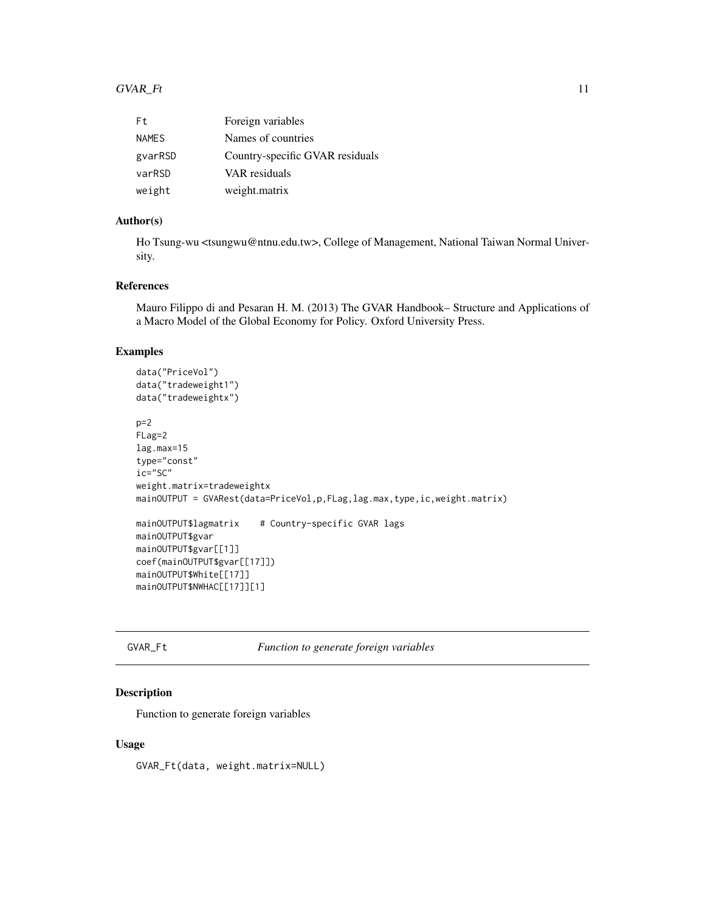#### <span id="page-10-0"></span> $GVAR\_Ft$  11

| Ft.          | Foreign variables               |
|--------------|---------------------------------|
| <b>NAMES</b> | Names of countries              |
| gyarRSD      | Country-specific GVAR residuals |
| varRSD       | VAR residuals                   |
| weight       | weight.matrix                   |

# Author(s)

Ho Tsung-wu <tsungwu@ntnu.edu.tw>, College of Management, National Taiwan Normal University.

# References

Mauro Filippo di and Pesaran H. M. (2013) The GVAR Handbook– Structure and Applications of a Macro Model of the Global Economy for Policy. Oxford University Press.

# Examples

```
data("PriceVol")
data("tradeweight1")
data("tradeweightx")
p=2FLag=2
lag.max=15
type="const"
ic="SC"
weight.matrix=tradeweightx
mainOUTPUT = GVARest(data=PriceVol,p,FLag,lag.max,type,ic,weight.matrix)
mainOUTPUT$lagmatrix # Country-specific GVAR lags
mainOUTPUT$gvar
mainOUTPUT$gvar[[1]]
coef(mainOUTPUT$gvar[[17]])
mainOUTPUT$White[[17]]
mainOUTPUT$NWHAC[[17]][1]
```
GVAR\_Ft *Function to generate foreign variables*

#### Description

Function to generate foreign variables

#### Usage

GVAR\_Ft(data, weight.matrix=NULL)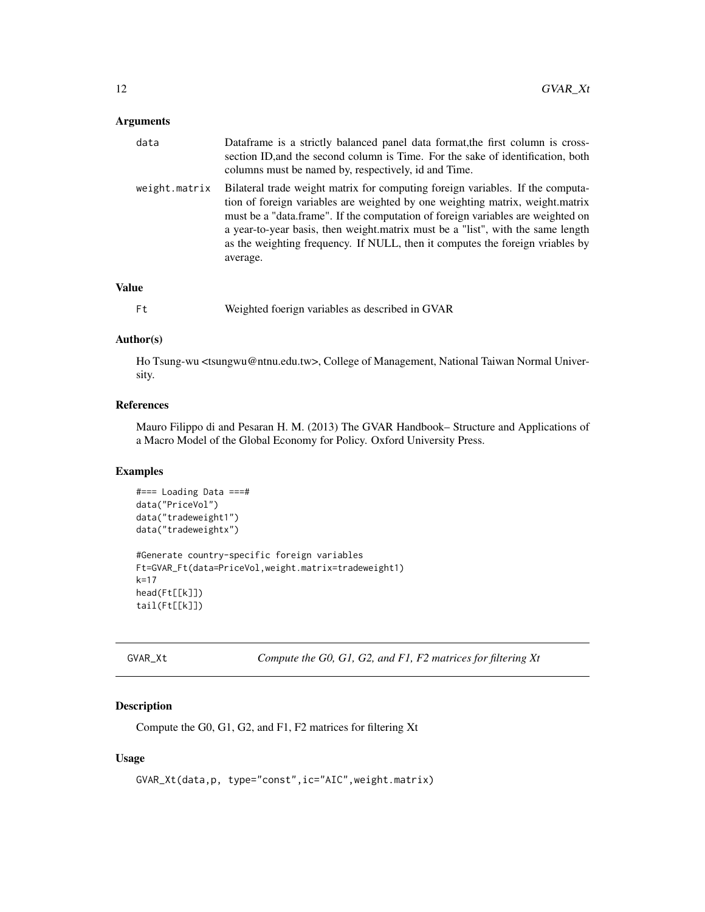#### <span id="page-11-0"></span>Arguments

| data          | Dataframe is a strictly balanced panel data format, the first column is cross-<br>section ID, and the second column is Time. For the sake of identification, both<br>columns must be named by, respectively, id and Time.                                                                                                                                                                                                          |
|---------------|------------------------------------------------------------------------------------------------------------------------------------------------------------------------------------------------------------------------------------------------------------------------------------------------------------------------------------------------------------------------------------------------------------------------------------|
| weight.matrix | Bilateral trade weight matrix for computing foreign variables. If the computa-<br>tion of foreign variables are weighted by one weighting matrix, weight.matrix<br>must be a "data.frame". If the computation of foreign variables are weighted on<br>a year-to-year basis, then weight matrix must be a "list", with the same length<br>as the weighting frequency. If NULL, then it computes the foreign vriables by<br>average. |

# Value

Ft Weighted foerign variables as described in GVAR

#### Author(s)

Ho Tsung-wu <tsungwu@ntnu.edu.tw>, College of Management, National Taiwan Normal University.

# References

Mauro Filippo di and Pesaran H. M. (2013) The GVAR Handbook– Structure and Applications of a Macro Model of the Global Economy for Policy. Oxford University Press.

#### Examples

```
#=== Loading Data ===#
data("PriceVol")
data("tradeweight1")
data("tradeweightx")
#Generate country-specific foreign variables
Ft=GVAR_Ft(data=PriceVol,weight.matrix=tradeweight1)
k=17
head(Ft[[k]])
tail(Ft[[k]])
```
GVAR\_Xt *Compute the G0, G1, G2, and F1, F2 matrices for filtering Xt*

# Description

Compute the G0, G1, G2, and F1, F2 matrices for filtering Xt

#### Usage

```
GVAR_Xt(data,p, type="const",ic="AIC",weight.matrix)
```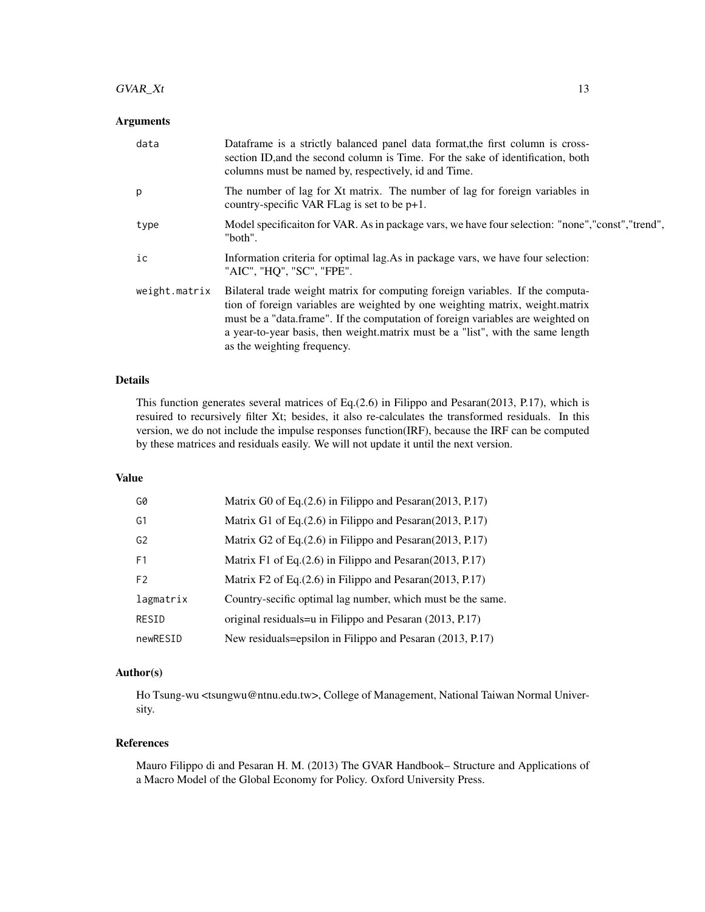# $GVAR\_Xt$  13

#### Arguments

| data          | Dataframe is a strictly balanced panel data format, the first column is cross-<br>section ID, and the second column is Time. For the sake of identification, both<br>columns must be named by, respectively, id and Time.                                                                                                                                            |
|---------------|----------------------------------------------------------------------------------------------------------------------------------------------------------------------------------------------------------------------------------------------------------------------------------------------------------------------------------------------------------------------|
| p             | The number of lag for Xt matrix. The number of lag for foreign variables in<br>country-specific VAR FLag is set to be $p+1$ .                                                                                                                                                                                                                                        |
| type          | Model specificaiton for VAR. As in package vars, we have four selection: "none", "const", "trend",<br>"both".                                                                                                                                                                                                                                                        |
| ic            | Information criteria for optimal lag. As in package vars, we have four selection:<br>"AIC", "HQ", "SC", "FPE".                                                                                                                                                                                                                                                       |
| weight.matrix | Bilateral trade weight matrix for computing foreign variables. If the computa-<br>tion of foreign variables are weighted by one weighting matrix, weight.matrix<br>must be a "data.frame". If the computation of foreign variables are weighted on<br>a year-to-year basis, then weight matrix must be a "list", with the same length<br>as the weighting frequency. |

### Details

This function generates several matrices of Eq.(2.6) in Filippo and Pesaran(2013, P.17), which is resuired to recursively filter Xt; besides, it also re-calculates the transformed residuals. In this version, we do not include the impulse responses function(IRF), because the IRF can be computed by these matrices and residuals easily. We will not update it until the next version.

# Value

| G0             | Matrix G0 of Eq. (2.6) in Filippo and Pesaran (2013, P.17)  |
|----------------|-------------------------------------------------------------|
| G1             | Matrix G1 of Eq. (2.6) in Filippo and Pesaran (2013, P.17)  |
| G <sub>2</sub> | Matrix G2 of Eq. (2.6) in Filippo and Pesaran (2013, P.17)  |
| F1             | Matrix F1 of Eq. (2.6) in Filippo and Pesaran (2013, P.17)  |
| F <sub>2</sub> | Matrix F2 of Eq. (2.6) in Filippo and Pesaran (2013, P.17)  |
| lagmatrix      | Country-secific optimal lag number, which must be the same. |
| RESID          | original residuals=u in Filippo and Pesaran (2013, P.17)    |
| newRESID       | New residuals=epsilon in Filippo and Pesaran (2013, P.17)   |

# Author(s)

Ho Tsung-wu <tsungwu@ntnu.edu.tw>, College of Management, National Taiwan Normal University.

#### References

Mauro Filippo di and Pesaran H. M. (2013) The GVAR Handbook– Structure and Applications of a Macro Model of the Global Economy for Policy. Oxford University Press.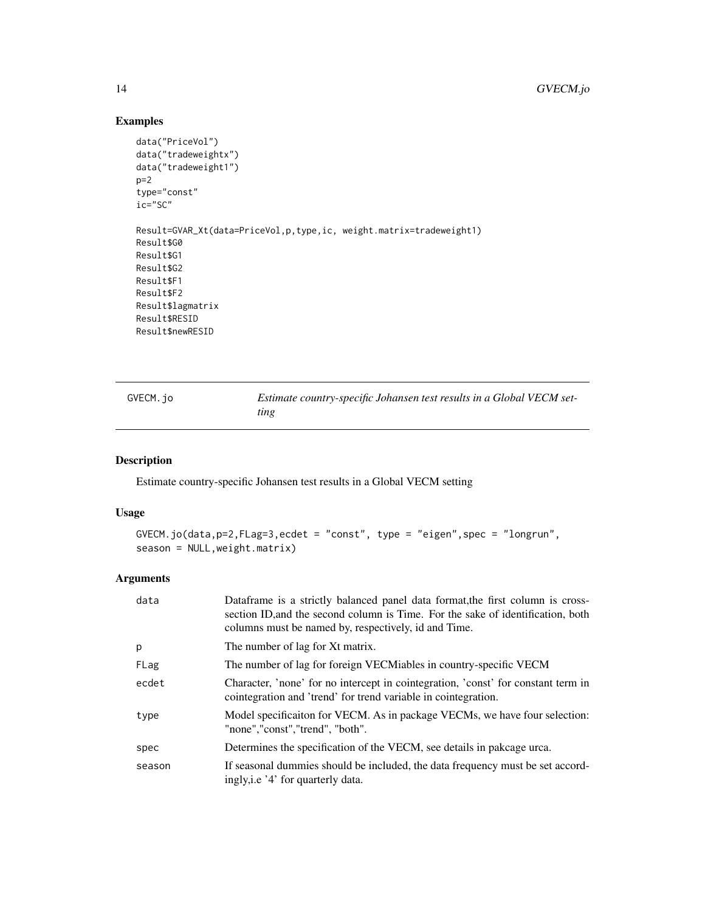# Examples

```
data("PriceVol")
data("tradeweightx")
data("tradeweight1")
p=2type="const"
ic="SC"
Result=GVAR_Xt(data=PriceVol,p,type,ic, weight.matrix=tradeweight1)
Result$G0
Result$G1
Result$G2
Result$F1
Result$F2
Result$lagmatrix
Result$RESID
Result$newRESID
```

| GVECM. jo | Estimate country-specific Johansen test results in a Global VECM set- |
|-----------|-----------------------------------------------------------------------|
|           | ting                                                                  |

# Description

Estimate country-specific Johansen test results in a Global VECM setting

# Usage

```
GVECM.jo(data,p=2,FLag=3,ecdet = "const", type = "eigen",spec = "longrun",
season = NULL,weight.matrix)
```
# Arguments

| data   | Dataframe is a strictly balanced panel data format, the first column is cross-<br>section ID, and the second column is Time. For the sake of identification, both<br>columns must be named by, respectively, id and Time. |
|--------|---------------------------------------------------------------------------------------------------------------------------------------------------------------------------------------------------------------------------|
| p      | The number of lag for Xt matrix.                                                                                                                                                                                          |
| FLag   | The number of lag for foreign VECMiables in country-specific VECM                                                                                                                                                         |
| ecdet  | Character, 'none' for no intercept in cointegration, 'const' for constant term in<br>cointegration and 'trend' for trend variable in cointegration.                                                                       |
| type   | Model specificaiton for VECM. As in package VECMs, we have four selection:<br>"none","const","trend", "both".                                                                                                             |
| spec   | Determines the specification of the VECM, see details in pakcage urca.                                                                                                                                                    |
| season | If seasonal dummies should be included, the data frequency must be set accord-<br>ingly, i.e '4' for quarterly data.                                                                                                      |

<span id="page-13-0"></span>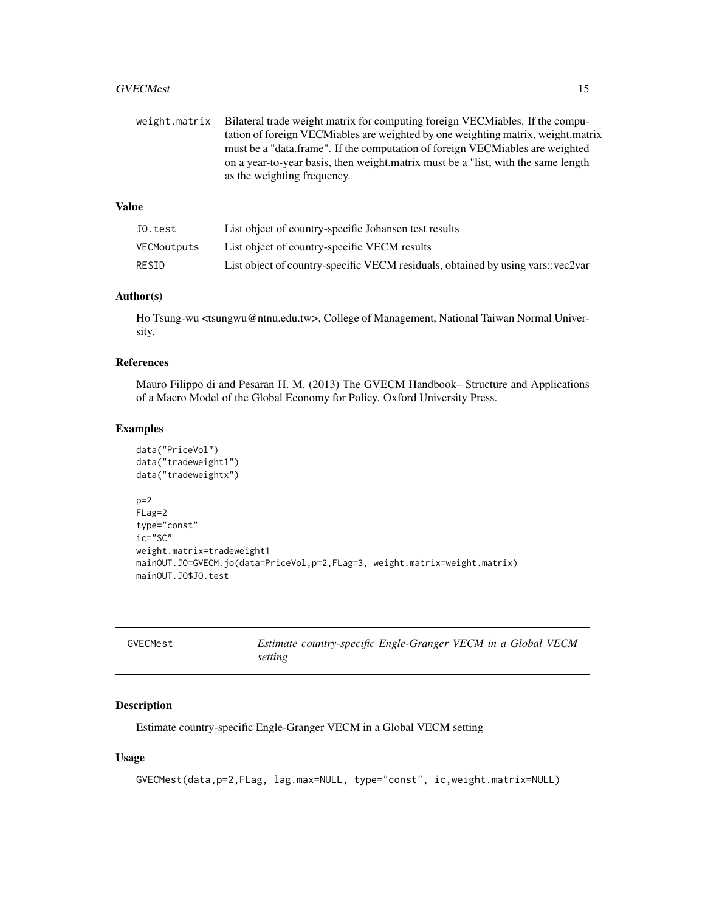#### <span id="page-14-0"></span>GVECMest 15

weight.matrix Bilateral trade weight matrix for computing foreign VECMiables. If the computation of foreign VECMiables are weighted by one weighting matrix, weight.matrix must be a "data.frame". If the computation of foreign VECMiables are weighted on a year-to-year basis, then weight.matrix must be a "list, with the same length as the weighting frequency.

# Value

| JO.test     | List object of country-specific Johansen test results                           |
|-------------|---------------------------------------------------------------------------------|
| VECMoutputs | List object of country-specific VECM results                                    |
| RESID       | List object of country-specific VECM residuals, obtained by using vars::vec2var |

#### Author(s)

Ho Tsung-wu <tsungwu@ntnu.edu.tw>, College of Management, National Taiwan Normal University.

# References

Mauro Filippo di and Pesaran H. M. (2013) The GVECM Handbook– Structure and Applications of a Macro Model of the Global Economy for Policy. Oxford University Press.

#### Examples

```
data("PriceVol")
data("tradeweight1")
data("tradeweightx")
p=2FLag=2
type="const"
ic="SC"
weight.matrix=tradeweight1
mainOUT.JO=GVECM.jo(data=PriceVol,p=2,FLag=3, weight.matrix=weight.matrix)
mainOUT.JO$JO.test
```

| GVECMest | Estimate country-specific Engle-Granger VECM in a Global VECM |  |
|----------|---------------------------------------------------------------|--|
|          | setting                                                       |  |

# Description

Estimate country-specific Engle-Granger VECM in a Global VECM setting

# Usage

GVECMest(data,p=2,FLag, lag.max=NULL, type="const", ic,weight.matrix=NULL)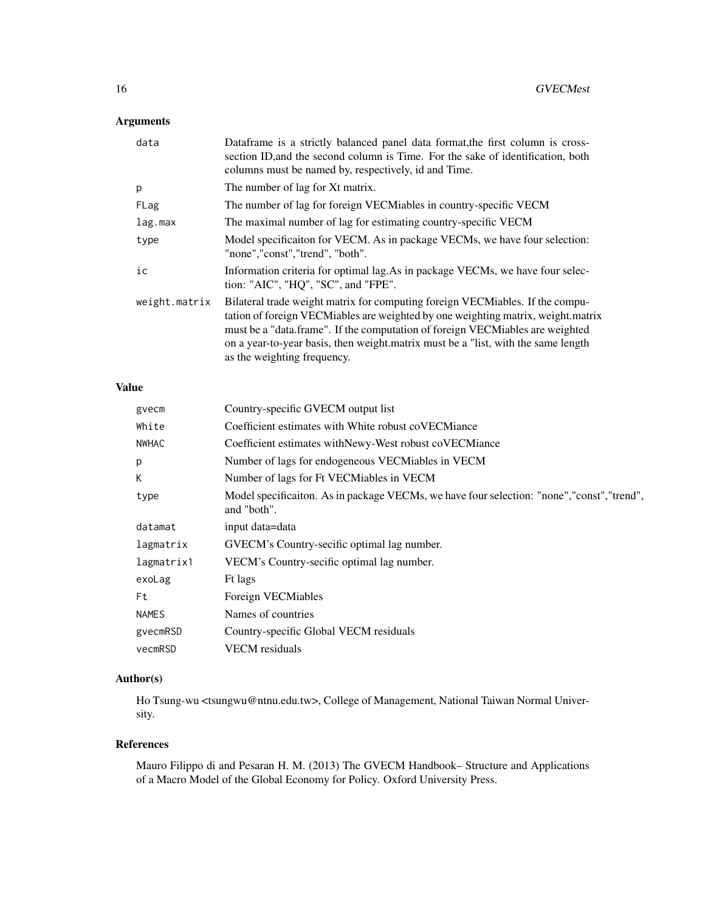# Arguments

| data          | Dataframe is a strictly balanced panel data format, the first column is cross-<br>section ID, and the second column is Time. For the sake of identification, both<br>columns must be named by, respectively, id and Time.                                                                                                                                              |
|---------------|------------------------------------------------------------------------------------------------------------------------------------------------------------------------------------------------------------------------------------------------------------------------------------------------------------------------------------------------------------------------|
| p             | The number of lag for Xt matrix.                                                                                                                                                                                                                                                                                                                                       |
| FLag          | The number of lag for foreign VECMiables in country-specific VECM                                                                                                                                                                                                                                                                                                      |
| lag.max       | The maximal number of lag for estimating country-specific VECM                                                                                                                                                                                                                                                                                                         |
| type          | Model specificaiton for VECM. As in package VECMs, we have four selection:<br>"none","const","trend", "both".                                                                                                                                                                                                                                                          |
| ic            | Information criteria for optimal lag. As in package VECMs, we have four selec-<br>tion: "AIC", "HQ", "SC", and "FPE".                                                                                                                                                                                                                                                  |
| weight.matrix | Bilateral trade weight matrix for computing foreign VECMiables. If the compu-<br>tation of foreign VECMiables are weighted by one weighting matrix, weight matrix<br>must be a "data.frame". If the computation of foreign VECMiables are weighted<br>on a year-to-year basis, then weight matrix must be a "list, with the same length<br>as the weighting frequency. |

# Value

| gvecm        | Country-specific GVECM output list                                                                         |
|--------------|------------------------------------------------------------------------------------------------------------|
| White        | Coefficient estimates with White robust coVECMiance                                                        |
| NWHAC        | Coefficient estimates with Newy-West robust cover. Coefficient estimates with Newy-West robust cover.      |
| p            | Number of lags for endogeneous VECMiables in VECM                                                          |
| К            | Number of lags for Ft VECMiables in VECM                                                                   |
| type         | Model specificaiton. As in package VECMs, we have four selection: "none", "const", "trend",<br>and "both". |
| datamat      | input data=data                                                                                            |
| lagmatrix    | GVECM's Country-secific optimal lag number.                                                                |
| lagmatrix1   | VECM's Country-secific optimal lag number.                                                                 |
| exoLag       | Ft lags                                                                                                    |
| Ft           | Foreign VECMiables                                                                                         |
| <b>NAMES</b> | Names of countries                                                                                         |
| gyecmRSD     | Country-specific Global VECM residuals                                                                     |
| vecmRSD      | <b>VECM</b> residuals                                                                                      |
|              |                                                                                                            |

# Author(s)

Ho Tsung-wu <tsungwu@ntnu.edu.tw>, College of Management, National Taiwan Normal University.

# References

Mauro Filippo di and Pesaran H. M. (2013) The GVECM Handbook– Structure and Applications of a Macro Model of the Global Economy for Policy. Oxford University Press.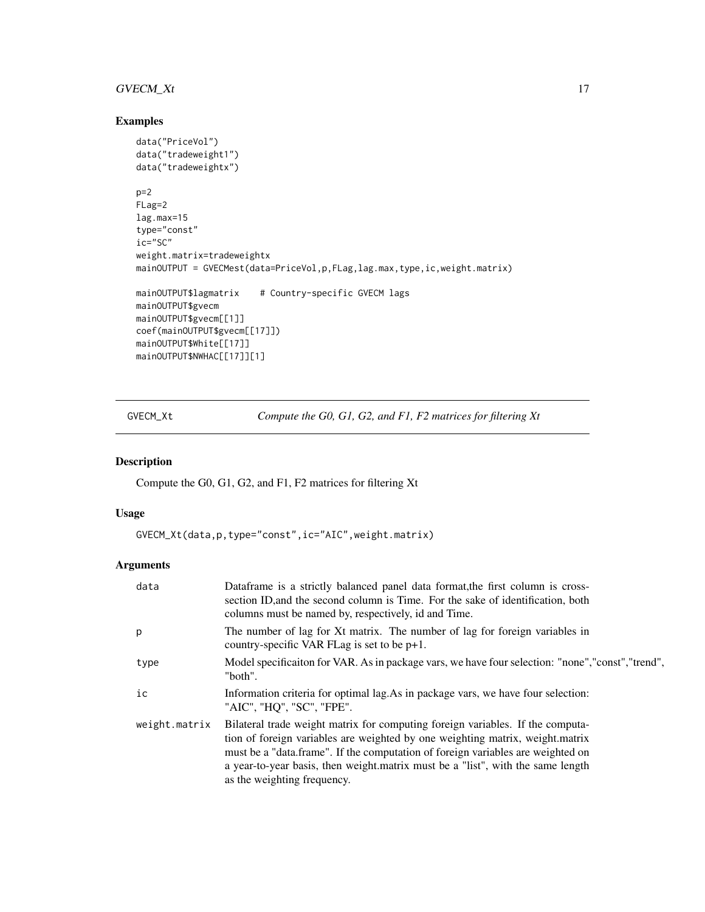# <span id="page-16-0"></span>GVECM\_Xt 17

# Examples

```
data("PriceVol")
data("tradeweight1")
data("tradeweightx")
p=2FLag=2
lag.max=15
type="const"
ic="SC"
weight.matrix=tradeweightx
mainOUTPUT = GVECMest(data=PriceVol,p,FLag,lag.max,type,ic,weight.matrix)
mainOUTPUT$lagmatrix # Country-specific GVECM lags
mainOUTPUT$gvecm
mainOUTPUT$gvecm[[1]]
coef(mainOUTPUT$gvecm[[17]])
mainOUTPUT$White[[17]]
mainOUTPUT$NWHAC[[17]][1]
```
GVECM\_Xt *Compute the G0, G1, G2, and F1, F2 matrices for filtering Xt*

# Description

Compute the G0, G1, G2, and F1, F2 matrices for filtering Xt

# Usage

GVECM\_Xt(data,p,type="const",ic="AIC",weight.matrix)

# Arguments

| data          | Dataframe is a strictly balanced panel data format, the first column is cross-<br>section ID, and the second column is Time. For the sake of identification, both<br>columns must be named by, respectively, id and Time.                                                                                                                                            |
|---------------|----------------------------------------------------------------------------------------------------------------------------------------------------------------------------------------------------------------------------------------------------------------------------------------------------------------------------------------------------------------------|
| p             | The number of lag for Xt matrix. The number of lag for foreign variables in<br>country-specific VAR FLag is set to be $p+1$ .                                                                                                                                                                                                                                        |
| type          | Model specification for VAR. As in package vars, we have four selection: "none","const","trend",<br>"both".                                                                                                                                                                                                                                                          |
| ic            | Information criteria for optimal lag. As in package vars, we have four selection:<br>"AIC", "HQ", "SC", "FPE".                                                                                                                                                                                                                                                       |
| weight.matrix | Bilateral trade weight matrix for computing foreign variables. If the computa-<br>tion of foreign variables are weighted by one weighting matrix, weight.matrix<br>must be a "data.frame". If the computation of foreign variables are weighted on<br>a year-to-year basis, then weight matrix must be a "list", with the same length<br>as the weighting frequency. |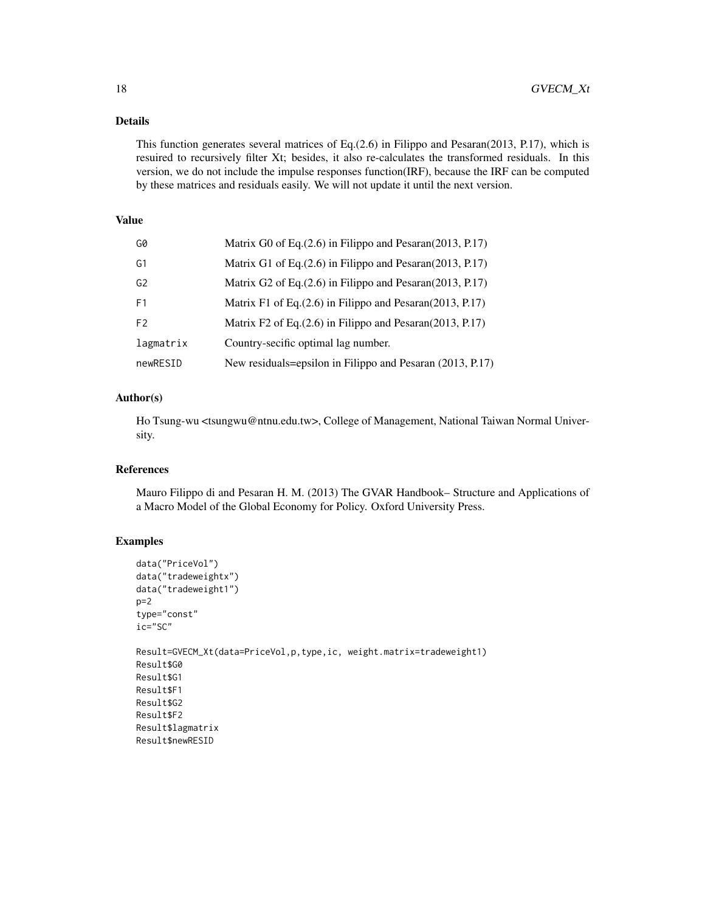# Details

This function generates several matrices of Eq.(2.6) in Filippo and Pesaran(2013, P.17), which is resuired to recursively filter Xt; besides, it also re-calculates the transformed residuals. In this version, we do not include the impulse responses function(IRF), because the IRF can be computed by these matrices and residuals easily. We will not update it until the next version.

# Value

| G0             | Matrix G0 of Eq. (2.6) in Filippo and Pesaran (2013, P.17)     |
|----------------|----------------------------------------------------------------|
| G1             | Matrix G1 of Eq. (2.6) in Filippo and Pesaran (2013, P.17)     |
| G <sub>2</sub> | Matrix G2 of Eq. $(2.6)$ in Filippo and Pesaran $(2013, P.17)$ |
| F <sub>1</sub> | Matrix F1 of Eq. $(2.6)$ in Filippo and Pesaran $(2013, P.17)$ |
| F <sub>2</sub> | Matrix F2 of Eq. (2.6) in Filippo and Pesaran (2013, P.17)     |
| lagmatrix      | Country-secific optimal lag number.                            |
| newRESID       | New residuals=epsilon in Filippo and Pesaran (2013, P.17)      |

# Author(s)

Ho Tsung-wu <tsungwu@ntnu.edu.tw>, College of Management, National Taiwan Normal University.

# References

Mauro Filippo di and Pesaran H. M. (2013) The GVAR Handbook– Structure and Applications of a Macro Model of the Global Economy for Policy. Oxford University Press.

#### Examples

```
data("PriceVol")
data("tradeweightx")
data("tradeweight1")
p=2type="const"
ic="SC"
Result=GVECM_Xt(data=PriceVol,p,type,ic, weight.matrix=tradeweight1)
Result$G0
Result$G1
Result$F1
Result$G2
Result$F2
Result$lagmatrix
Result$newRESID
```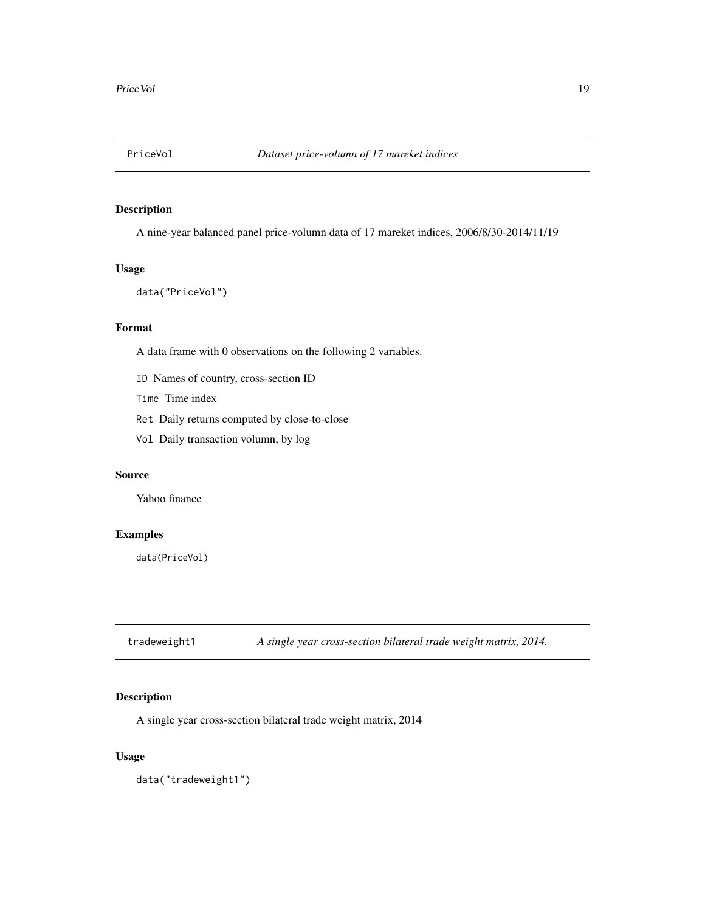<span id="page-18-0"></span>

# Description

A nine-year balanced panel price-volumn data of 17 mareket indices, 2006/8/30-2014/11/19

#### Usage

```
data("PriceVol")
```
#### Format

A data frame with 0 observations on the following 2 variables.

ID Names of country, cross-section ID

Time Time index

Ret Daily returns computed by close-to-close

Vol Daily transaction volumn, by log

#### Source

Yahoo finance

# Examples

data(PriceVol)

tradeweight1 *A single year cross-section bilateral trade weight matrix, 2014.*

# Description

A single year cross-section bilateral trade weight matrix, 2014

#### Usage

data("tradeweight1")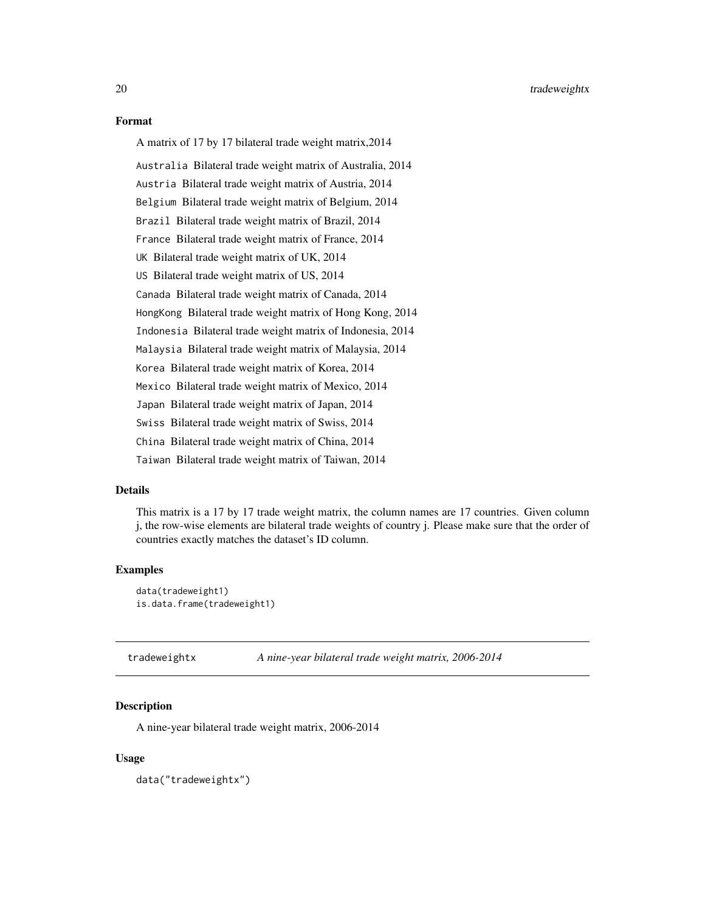<span id="page-19-0"></span>A matrix of 17 by 17 bilateral trade weight matrix,2014

Australia Bilateral trade weight matrix of Australia, 2014

Austria Bilateral trade weight matrix of Austria, 2014

Belgium Bilateral trade weight matrix of Belgium, 2014

Brazil Bilateral trade weight matrix of Brazil, 2014

France Bilateral trade weight matrix of France, 2014

UK Bilateral trade weight matrix of UK, 2014

US Bilateral trade weight matrix of US, 2014

Canada Bilateral trade weight matrix of Canada, 2014

HongKong Bilateral trade weight matrix of Hong Kong, 2014

Indonesia Bilateral trade weight matrix of Indonesia, 2014

Malaysia Bilateral trade weight matrix of Malaysia, 2014

Korea Bilateral trade weight matrix of Korea, 2014

Mexico Bilateral trade weight matrix of Mexico, 2014

Japan Bilateral trade weight matrix of Japan, 2014

Swiss Bilateral trade weight matrix of Swiss, 2014

China Bilateral trade weight matrix of China, 2014

Taiwan Bilateral trade weight matrix of Taiwan, 2014

#### Details

This matrix is a 17 by 17 trade weight matrix, the column names are 17 countries. Given column j, the row-wise elements are bilateral trade weights of country j. Please make sure that the order of countries exactly matches the dataset's ID column.

#### Examples

```
data(tradeweight1)
is.data.frame(tradeweight1)
```
tradeweightx *A nine-year bilateral trade weight matrix, 2006-2014*

#### Description

A nine-year bilateral trade weight matrix, 2006-2014

#### Usage

data("tradeweightx")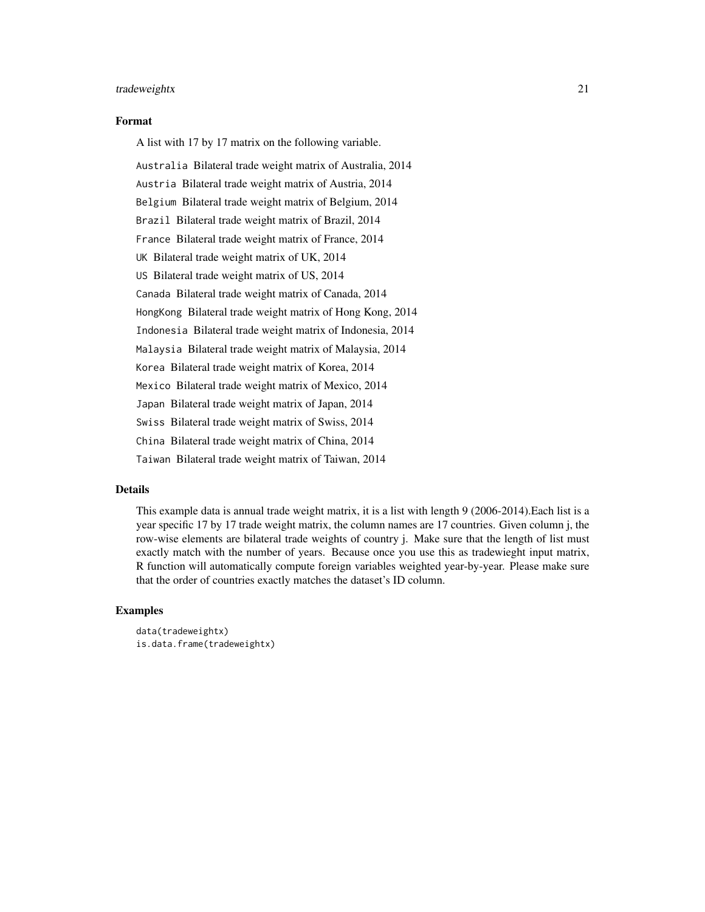#### tradeweightx 21

#### Format

A list with 17 by 17 matrix on the following variable.

Australia Bilateral trade weight matrix of Australia, 2014 Austria Bilateral trade weight matrix of Austria, 2014 Belgium Bilateral trade weight matrix of Belgium, 2014 Brazil Bilateral trade weight matrix of Brazil, 2014 France Bilateral trade weight matrix of France, 2014 UK Bilateral trade weight matrix of UK, 2014 US Bilateral trade weight matrix of US, 2014 Canada Bilateral trade weight matrix of Canada, 2014 HongKong Bilateral trade weight matrix of Hong Kong, 2014 Indonesia Bilateral trade weight matrix of Indonesia, 2014 Malaysia Bilateral trade weight matrix of Malaysia, 2014 Korea Bilateral trade weight matrix of Korea, 2014 Mexico Bilateral trade weight matrix of Mexico, 2014 Japan Bilateral trade weight matrix of Japan, 2014 Swiss Bilateral trade weight matrix of Swiss, 2014 China Bilateral trade weight matrix of China, 2014 Taiwan Bilateral trade weight matrix of Taiwan, 2014

#### Details

This example data is annual trade weight matrix, it is a list with length 9 (2006-2014).Each list is a year specific 17 by 17 trade weight matrix, the column names are 17 countries. Given column j, the row-wise elements are bilateral trade weights of country j. Make sure that the length of list must exactly match with the number of years. Because once you use this as tradewieght input matrix, R function will automatically compute foreign variables weighted year-by-year. Please make sure that the order of countries exactly matches the dataset's ID column.

#### Examples

```
data(tradeweightx)
is.data.frame(tradeweightx)
```